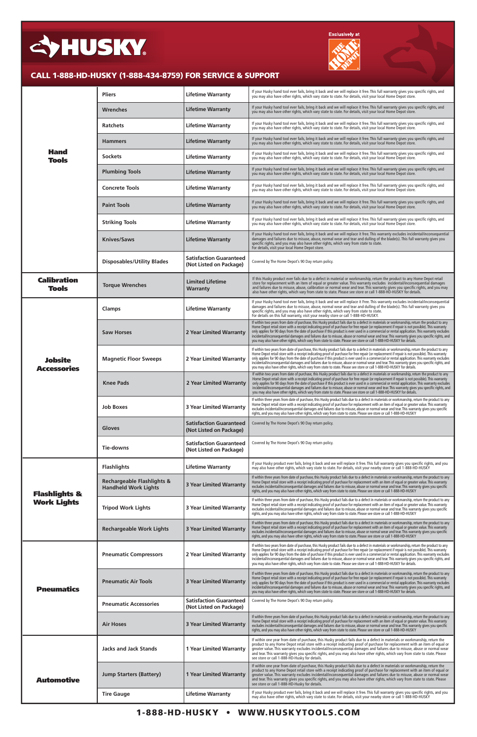| <b>Hand</b><br><b>Tools</b>                    | <b>Pliers</b>                                                        | <b>Lifetime Warranty</b>                                  | If your Husky hand tool ever fails, bring it back and we will replace it free. This full warranty gives you specific rights, and<br>you may also have other rights, which vary state to state. For details, visit your local Home Depot store.                                                                                                                                                                                                                                                                                                                                                                                                                                                                       |
|------------------------------------------------|----------------------------------------------------------------------|-----------------------------------------------------------|----------------------------------------------------------------------------------------------------------------------------------------------------------------------------------------------------------------------------------------------------------------------------------------------------------------------------------------------------------------------------------------------------------------------------------------------------------------------------------------------------------------------------------------------------------------------------------------------------------------------------------------------------------------------------------------------------------------------|
|                                                | <b>Wrenches</b>                                                      | <b>Lifetime Warranty</b>                                  | If your Husky hand tool ever fails, bring it back and we will replace it free. This full warranty gives you specific rights, and<br>you may also have other rights, which vary state to state. For details, visit your local Home Depot store.                                                                                                                                                                                                                                                                                                                                                                                                                                                                       |
|                                                | <b>Ratchets</b>                                                      | <b>Lifetime Warranty</b>                                  | If your Husky hand tool ever fails, bring it back and we will replace it free. This full warranty gives you specific rights, and<br>you may also have other rights, which vary state to state. For details, visit your local Home Depot store.                                                                                                                                                                                                                                                                                                                                                                                                                                                                       |
|                                                | <b>Hammers</b>                                                       | <b>Lifetime Warranty</b>                                  | If your Husky hand tool ever fails, bring it back and we will replace it free. This full warranty gives you specific rights, and<br>you may also have other rights, which vary state to state. For details, visit your local Home Depot store.                                                                                                                                                                                                                                                                                                                                                                                                                                                                       |
|                                                | <b>Sockets</b>                                                       | <b>Lifetime Warranty</b>                                  | If your Husky hand tool ever fails, bring it back and we will replace it free. This full warranty gives you specific rights, and<br>you may also have other rights, which vary state to state. For details, visit your local Home Depot store.                                                                                                                                                                                                                                                                                                                                                                                                                                                                       |
|                                                | <b>Plumbing Tools</b>                                                | <b>Lifetime Warranty</b>                                  | If your Husky hand tool ever fails, bring it back and we will replace it free. This full warranty gives you specific rights, and<br>you may also have other rights, which vary state to state. For details, visit your local Home Depot store.                                                                                                                                                                                                                                                                                                                                                                                                                                                                       |
|                                                | <b>Concrete Tools</b>                                                | <b>Lifetime Warranty</b>                                  | If your Husky hand tool ever fails, bring it back and we will replace it free. This full warranty gives you specific rights, and<br>you may also have other rights, which vary state to state. For details, visit your local Home Depot store.                                                                                                                                                                                                                                                                                                                                                                                                                                                                       |
|                                                | <b>Paint Tools</b>                                                   | <b>Lifetime Warranty</b>                                  | If your Husky hand tool ever fails, bring it back and we will replace it free. This full warranty gives you specific rights, and<br>you may also have other rights, which vary state to state. For details, visit your local Home Depot store.                                                                                                                                                                                                                                                                                                                                                                                                                                                                       |
|                                                | <b>Striking Tools</b>                                                | <b>Lifetime Warranty</b>                                  | If your Husky hand tool ever fails, bring it back and we will replace it free. This full warranty gives you specific rights, and<br>you may also have other rights, which vary state to state. For details, visit your local Home Depot store.                                                                                                                                                                                                                                                                                                                                                                                                                                                                       |
|                                                | <b>Knives/Saws</b>                                                   | <b>Lifetime Warranty</b>                                  | If your Husky hand tool ever fails, bring it back and we will replace it free. This warranty excludes incidental/inconsequential<br>damages and failures due to misuse, abuse, normal wear and tear and dulling of the blade(s). This full warranty gives you<br>specific rights, and you may also have other rights, which vary from state to state.<br>For details, visit your local Home Depot store.                                                                                                                                                                                                                                                                                                             |
|                                                | <b>Disposables/Utility Blades</b>                                    | <b>Satisfaction Guaranteed</b><br>(Not Listed on Package) | Covered by The Home Depot's 90 Day return policy.                                                                                                                                                                                                                                                                                                                                                                                                                                                                                                                                                                                                                                                                    |
| <b>Calibration</b><br><b>Tools</b>             | <b>Torque Wrenches</b>                                               | <b>Limited Lifetime</b><br>Warranty                       | If this Husky product ever fails due to a defect in material or workmanship, return the product to any Home Depot retail<br>store for replacement with an item of equal or greater value. This warranty excludes incidental/inconsequential damages<br>and failures due to misuse, abuse, calibration or normal wear and tear. This warranty gives you specific rights, and you may<br>also have other rights, which vary from state to state. Please see store or call 1-888-HD-HUSKY for details.                                                                                                                                                                                                                  |
| <b>Jobsite</b><br><b>Accessories</b>           | <b>Clamps</b>                                                        | <b>Lifetime Warranty</b>                                  | If your Husky hand tool ever fails, bring it back and we will replace it Free. This warranty excludes incidental/inconsequential<br>damages and failures due to misuse, abuse, normal wear and tear and dulling of the blade(s). This full warranty gives you<br>specific rights, and you may also have other rights, which vary from state to state.<br>For details on this full warranty, visit your nearby store or call 1-888-HD-HUSKY.                                                                                                                                                                                                                                                                          |
|                                                | <b>Saw Horses</b>                                                    | 2 Year Limited Warranty                                   | If within two years from date of purchase, this Husky product fails due to a defect in materials or workmanship, return the product to any<br>Home Depot retail store with a receipt indicating proof of purchase for free repair (or replacement if repair is not possible). This warranty<br>only applies for 90 days from the date of purchase if this product is ever used in a commercial or rental application. This warranty excludes<br>incidental/inconsequential damages and failures due to misuse, abuse or normal wear and tear. This warranty gives you specific rights, and<br>you may also have other rights, which vary from state to state. Please see store or call 1-888-HD-HUSKY for details.   |
|                                                | <b>Magnetic Floor Sweeps</b>                                         | 2 Year Limited Warranty                                   | If within two years from date of purchase, this Husky product fails due to a defect in materials or workmanship, return the product to any<br>Home Depot retail store with a receipt indicating proof of purchase for free repair (or replacement if repair is not possible). This warranty<br>only applies for 90 days from the date of purchase if this product is ever used in a commercial or rental application. This warranty excludes<br>incidental/inconsequential damages and failures due to misuse, abuse or normal wear and tear. This warranty gives you specific rights, and<br>you may also have other rights, which vary from state to state. Please see store or call 1-888-HD-HUSKY for details.   |
|                                                | <b>Knee Pads</b>                                                     | 2 Year Limited Warranty                                   | If within two years from date of purchase, this Husky product fails due to a defect in materials or workmanship, return the product to any<br>Home Depot retail store with a receipt indicating proof of purchase for free repair (or replacement if repair is not possible). This warranty<br>only applies for 90 days from the date of purchase if this product is ever used in a commercial or rental application. This warranty excludes<br>incidental/inconsequential damages and failures due to misuse, abuse or normal wear and tear. This warranty gives you specific rights, and<br>you may also have other rights, which vary from state to state. Please see store or call 1-888-HD-HUSKY for details.   |
|                                                | <b>Job Boxes</b>                                                     | <b>3 Year Limited Warranty</b>                            | If within three years from date of purchase, this Husky product fails due to a defect in materials or workmanship, return the product to any<br>Home Depot retail store with a receipt indicating proof of purchase for replacement with an item of equal or greater value. This warranty<br>excludes incidental/inconsequential damages and failures due to misuse, abuse or normal wear and tear. This warranty gives you specific<br>rights, and you may also have other rights, which vary from state to state. Please see store or call 1-888-HD-HUSKY                                                                                                                                                          |
|                                                | Gloves                                                               | <b>Satisfaction Guaranteed</b><br>(Not Listed on Package) | Covered by The Home Depot's 90 Day return policy.                                                                                                                                                                                                                                                                                                                                                                                                                                                                                                                                                                                                                                                                    |
|                                                | Tie-downs                                                            | <b>Satisfaction Guaranteed</b><br>(Not Listed on Package) | Covered by The Home Depot's 90 Day return policy.                                                                                                                                                                                                                                                                                                                                                                                                                                                                                                                                                                                                                                                                    |
|                                                | <b>Flashlights</b>                                                   | <b>Lifetime Warranty</b>                                  | If your Husky product ever fails, bring it back and we will replace it free. This full warranty gives you specific rights, and you<br>may also have other rights, which vary state to state. For details, visit your nearby store or call 1-888-HD-HUSKY                                                                                                                                                                                                                                                                                                                                                                                                                                                             |
| <b>Flashlights &amp;</b><br><b>Work Lights</b> | <b>Rechargeable Flashlights &amp;</b><br><b>Handheld Work Lights</b> | <b>3 Year Limited Warranty</b>                            | If within three years from date of purchase, this Husky product fails due to a defect in materials or workmanship, return the product to any<br>Home Depot retail store with a receipt indicating proof of purchase for replacement with an item of equal or greater value. This warranty<br>excludes incidental/inconsequential damages and failures due to misuse, abuse or normal wear and tear. This warranty gives you specific<br>rights, and you may also have other rights, which vary from state to state. Please see store or call 1-888-HD-HUSKY                                                                                                                                                          |
|                                                | <b>Tripod Work Lights</b>                                            | <b>3 Year Limited Warranty</b>                            | If within three years from date of purchase, this Husky product fails due to a defect in materials or workmanship, return the product to any<br>Home Depot retail store with a receipt indicating proof of purchase for replacement with an item of equal or greater value. This warranty<br>excludes incidental/inconsequential damages and failures due to misuse, abuse or normal wear and tear. This warranty gives you specific<br>rights, and you may also have other rights, which vary from state to state. Please see store or call 1-888-HD-HUSKY                                                                                                                                                          |
|                                                | <b>Rechargeable Work Lights</b>                                      | <b>3 Year Limited Warranty</b>                            | If within three years from date of purchase, this Husky product fails due to a defect in materials or workmanship, return the product to any<br>Home Depot retail store with a receipt indicating proof of purchase for replacement with an item of equal or greater value. This warranty<br>excludes incidental/inconsequential damages and failures due to misuse, abuse or normal wear and tear. This warranty gives you specific<br>rights, and you may also have other rights, which vary from state to state. Please see store or call 1-888-HD-HUSKY                                                                                                                                                          |
| <b>Pneumatics</b>                              | <b>Pneumatic Compressors</b>                                         | 2 Year Limited Warranty                                   | If within two years from date of purchase, this Husky product fails due to a defect in materials or workmanship, return the product to any<br>Home Depot retail store with a receipt indicating proof of purchase for free repair (or replacement if repair is not possible). This warranty<br>only applies for 90 days from the date of purchase if this product is ever used in a commercial or rental application. This warranty excludes<br>incidental/inconsequential damages and failures due to misuse, abuse or normal wear and tear. This warranty gives you specific rights, and<br>you may also have other rights, which vary from state to state. Please see store or call 1-888-HD-HUSKY for details.   |
|                                                | <b>Pneumatic Air Tools</b>                                           | <b>3 Year Limited Warranty</b>                            | If within three years from date of purchase, this Husky product fails due to a defect in materials or workmanship, return the product to any<br>Home Depot retail store with a receipt indicating proof of purchase for free repair (or replacement if repair is not possible). This warranty<br>only applies for 90 days from the date of purchase if this product is ever used in a commercial or rental application. This warranty excludes<br>incidental/inconsequential damages and failures due to misuse, abuse or normal wear and tear. This warranty gives you specific rights, and<br>you may also have other rights, which vary from state to state. Please see store or call 1-888-HD-HUSKY for details. |
|                                                | <b>Pneumatic Accessories</b>                                         | <b>Satisfaction Guaranteed</b><br>(Not Listed on Package) | Covered by The Home Depot's 90 Day return policy.                                                                                                                                                                                                                                                                                                                                                                                                                                                                                                                                                                                                                                                                    |
|                                                | <b>Air Hoses</b>                                                     | <b>3 Year Limited Warranty</b>                            | If within three years from date of purchase, this Husky product fails due to a defect in materials or workmanship, return the product to any<br>Home Depot retail store with a receipt indicating proof of purchase for replacement with an item of equal or greater value. This warranty<br>excludes incidental/inconsequential damages and failures due to misuse, abuse or normal wear and tear. This warranty gives you specific<br>rights, and you may also have other rights, which vary from state to state. Please see store or call 1-888-HD-HUSKY                                                                                                                                                          |
|                                                | <b>Jacks and Jack Stands</b>                                         | <b>1 Year Limited Warranty</b>                            | If within one year from date of purchase, this Husky product fails due to a defect in materials or workmanship, return the<br>product to any Home Depot retail store with a receipt indicating proof of purchase for replacement with an item of equal or<br>greater value. This warranty excludes incidental/inconsequential damages and failures due to misuse, abuse or normal wear<br>and tear. This warranty gives you specific rights, and you may also have other rights, which vary from state to state. Please<br>see store or call 1-888-HD-Husky for details.                                                                                                                                             |
| <b>Automotive</b>                              | <b>Jump Starters (Battery)</b>                                       | <b>1 Year Limited Warranty</b>                            | If within one year from date of purchase, this Husky product fails due to a defect in materials or workmanship, return the<br>product to any Home Depot retail store with a receipt indicating proof of purchase for replacement with an item of equal or<br>greater value. This warranty excludes incidental/inconsequential damages and failures due to misuse, abuse or normal wear<br>and tear. This warranty gives you specific rights, and you may also have other rights, which vary from state to state. Please<br>see store or call 1-888-HD-Husky for details.                                                                                                                                             |
|                                                | <b>Tire Gauge</b>                                                    | <b>Lifetime Warranty</b>                                  | If your Husky product ever fails, bring it back and we will replace it free. This full warranty gives you specific rights, and you<br>may also have other rights, which vary state to state. For details, visit your nearby store or call 1-888-HD-HUSKY                                                                                                                                                                                                                                                                                                                                                                                                                                                             |

## 1-888-HD-HUSKY • WWW.HUSKYTOOLS.COM

# SHUSKY.



### CALL 1-888-HD-HUSKY (1-888-434-8759) FOR SERVICE & SUPPORT